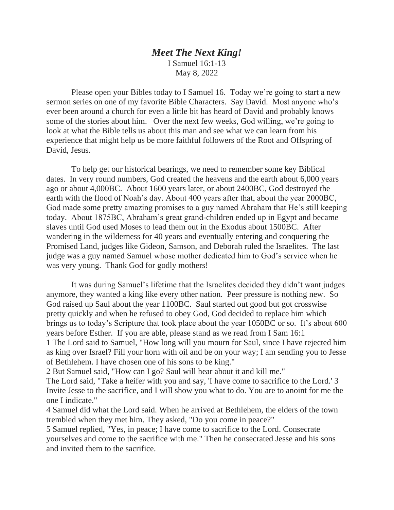## *Meet The Next King!* I Samuel 16:1-13 May 8, 2022

 Please open your Bibles today to I Samuel 16. Today we're going to start a new sermon series on one of my favorite Bible Characters. Say David. Most anyone who's ever been around a church for even a little bit has heard of David and probably knows some of the stories about him. Over the next few weeks, God willing, we're going to look at what the Bible tells us about this man and see what we can learn from his experience that might help us be more faithful followers of the Root and Offspring of David, Jesus.

 To help get our historical bearings, we need to remember some key Biblical dates. In very round numbers, God created the heavens and the earth about 6,000 years ago or about 4,000BC. About 1600 years later, or about 2400BC, God destroyed the earth with the flood of Noah's day. About 400 years after that, about the year 2000BC, God made some pretty amazing promises to a guy named Abraham that He's still keeping today. About 1875BC, Abraham's great grand-children ended up in Egypt and became slaves until God used Moses to lead them out in the Exodus about 1500BC. After wandering in the wilderness for 40 years and eventually entering and conquering the Promised Land, judges like Gideon, Samson, and Deborah ruled the Israelites. The last judge was a guy named Samuel whose mother dedicated him to God's service when he was very young. Thank God for godly mothers!

 It was during Samuel's lifetime that the Israelites decided they didn't want judges anymore, they wanted a king like every other nation. Peer pressure is nothing new. So God raised up Saul about the year 1100BC. Saul started out good but got crosswise pretty quickly and when he refused to obey God, God decided to replace him which brings us to today's Scripture that took place about the year 1050BC or so. It's about 600 years before Esther. If you are able, please stand as we read from I Sam 16:1 1 The Lord said to Samuel, "How long will you mourn for Saul, since I have rejected him as king over Israel? Fill your horn with oil and be on your way; I am sending you to Jesse of Bethlehem. I have chosen one of his sons to be king."

2 But Samuel said, "How can I go? Saul will hear about it and kill me."

The Lord said, "Take a heifer with you and say, 'I have come to sacrifice to the Lord.' 3 Invite Jesse to the sacrifice, and I will show you what to do. You are to anoint for me the one I indicate."

4 Samuel did what the Lord said. When he arrived at Bethlehem, the elders of the town trembled when they met him. They asked, "Do you come in peace?"

5 Samuel replied, "Yes, in peace; I have come to sacrifice to the Lord. Consecrate yourselves and come to the sacrifice with me." Then he consecrated Jesse and his sons and invited them to the sacrifice.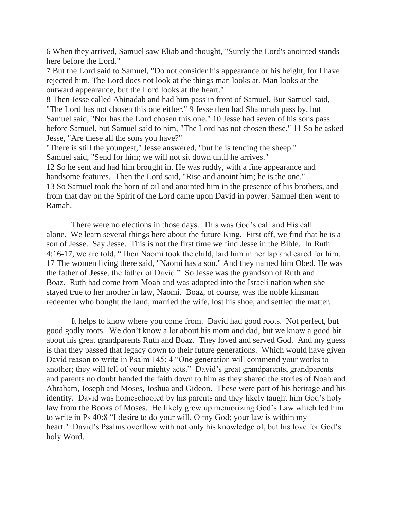6 When they arrived, Samuel saw Eliab and thought, "Surely the Lord's anointed stands here before the Lord."

7 But the Lord said to Samuel, "Do not consider his appearance or his height, for I have rejected him. The Lord does not look at the things man looks at. Man looks at the outward appearance, but the Lord looks at the heart."

8 Then Jesse called Abinadab and had him pass in front of Samuel. But Samuel said, "The Lord has not chosen this one either." 9 Jesse then had Shammah pass by, but Samuel said, "Nor has the Lord chosen this one." 10 Jesse had seven of his sons pass before Samuel, but Samuel said to him, "The Lord has not chosen these." 11 So he asked Jesse, "Are these all the sons you have?"

"There is still the youngest," Jesse answered, "but he is tending the sheep." Samuel said, "Send for him; we will not sit down until he arrives."

12 So he sent and had him brought in. He was ruddy, with a fine appearance and handsome features. Then the Lord said, "Rise and anoint him; he is the one." 13 So Samuel took the horn of oil and anointed him in the presence of his brothers, and from that day on the Spirit of the Lord came upon David in power. Samuel then went to Ramah.

 There were no elections in those days. This was God's call and His call alone. We learn several things here about the future King. First off, we find that he is a son of Jesse. Say Jesse. This is not the first time we find Jesse in the Bible. In Ruth 4:16-17, we are told, "Then Naomi took the child, laid him in her lap and cared for him. 17 The women living there said, "Naomi has a son." And they named him Obed. He was the father of **Jesse**, the father of David." So Jesse was the grandson of Ruth and Boaz. Ruth had come from Moab and was adopted into the Israeli nation when she stayed true to her mother in law, Naomi. Boaz, of course, was the noble kinsman redeemer who bought the land, married the wife, lost his shoe, and settled the matter.

 It helps to know where you come from. David had good roots. Not perfect, but good godly roots. We don't know a lot about his mom and dad, but we know a good bit about his great grandparents Ruth and Boaz. They loved and served God. And my guess is that they passed that legacy down to their future generations. Which would have given David reason to write in Psalm 145: 4 "One generation will commend your works to another; they will tell of your mighty acts." David's great grandparents, grandparents and parents no doubt handed the faith down to him as they shared the stories of Noah and Abraham, Joseph and Moses, Joshua and Gideon. These were part of his heritage and his identity. David was homeschooled by his parents and they likely taught him God's holy law from the Books of Moses. He likely grew up memorizing God's Law which led him to write in Ps 40:8 "I desire to do your will, O my God; your law is within my heart." David's Psalms overflow with not only his knowledge of, but his love for God's holy Word.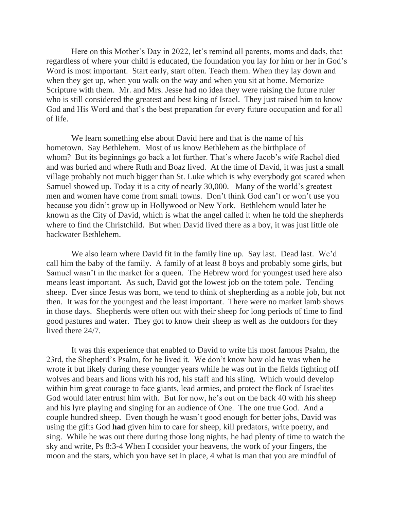Here on this Mother's Day in 2022, let's remind all parents, moms and dads, that regardless of where your child is educated, the foundation you lay for him or her in God's Word is most important. Start early, start often. Teach them. When they lay down and when they get up, when you walk on the way and when you sit at home. Memorize Scripture with them. Mr. and Mrs. Jesse had no idea they were raising the future ruler who is still considered the greatest and best king of Israel. They just raised him to know God and His Word and that's the best preparation for every future occupation and for all of life.

 We learn something else about David here and that is the name of his hometown. Say Bethlehem. Most of us know Bethlehem as the birthplace of whom? But its beginnings go back a lot further. That's where Jacob's wife Rachel died and was buried and where Ruth and Boaz lived. At the time of David, it was just a small village probably not much bigger than St. Luke which is why everybody got scared when Samuel showed up. Today it is a city of nearly 30,000. Many of the world's greatest men and women have come from small towns. Don't think God can't or won't use you because you didn't grow up in Hollywood or New York. Bethlehem would later be known as the City of David, which is what the angel called it when he told the shepherds where to find the Christchild. But when David lived there as a boy, it was just little ole backwater Bethlehem.

 We also learn where David fit in the family line up. Say last. Dead last. We'd call him the baby of the family. A family of at least 8 boys and probably some girls, but Samuel wasn't in the market for a queen. The Hebrew word for youngest used here also means least important. As such, David got the lowest job on the totem pole. Tending sheep. Ever since Jesus was born, we tend to think of shepherding as a noble job, but not then. It was for the youngest and the least important. There were no market lamb shows in those days. Shepherds were often out with their sheep for long periods of time to find good pastures and water. They got to know their sheep as well as the outdoors for they lived there 24/7.

 It was this experience that enabled to David to write his most famous Psalm, the 23rd, the Shepherd's Psalm, for he lived it. We don't know how old he was when he wrote it but likely during these younger years while he was out in the fields fighting off wolves and bears and lions with his rod, his staff and his sling. Which would develop within him great courage to face giants, lead armies, and protect the flock of Israelites God would later entrust him with. But for now, he's out on the back 40 with his sheep and his lyre playing and singing for an audience of One. The one true God. And a couple hundred sheep. Even though he wasn't good enough for better jobs, David was using the gifts God **had** given him to care for sheep, kill predators, write poetry, and sing. While he was out there during those long nights, he had plenty of time to watch the sky and write, Ps 8:3-4 When I consider your heavens, the work of your fingers, the moon and the stars, which you have set in place, 4 what is man that you are mindful of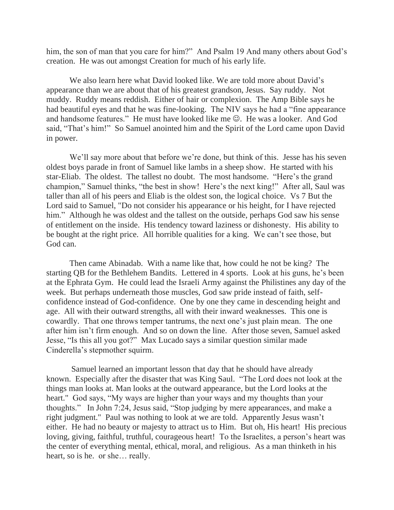him, the son of man that you care for him?" And Psalm 19 And many others about God's creation. He was out amongst Creation for much of his early life.

We also learn here what David looked like. We are told more about David's appearance than we are about that of his greatest grandson, Jesus. Say ruddy. Not muddy. Ruddy means reddish. Either of hair or complexion. The Amp Bible says he had beautiful eyes and that he was fine-looking. The NIV says he had a "fine appearance and handsome features." He must have looked like me  $\odot$ . He was a looker. And God said, "That's him!" So Samuel anointed him and the Spirit of the Lord came upon David in power.

We'll say more about that before we're done, but think of this. Jesse has his seven oldest boys parade in front of Samuel like lambs in a sheep show. He started with his star-Eliab. The oldest. The tallest no doubt. The most handsome. "Here's the grand champion," Samuel thinks, "the best in show! Here's the next king!" After all, Saul was taller than all of his peers and Eliab is the oldest son, the logical choice. Vs 7 But the Lord said to Samuel, "Do not consider his appearance or his height, for I have rejected him." Although he was oldest and the tallest on the outside, perhaps God saw his sense of entitlement on the inside. His tendency toward laziness or dishonesty. His ability to be bought at the right price. All horrible qualities for a king. We can't see those, but God can.

Then came Abinadab. With a name like that, how could he not be king? The starting QB for the Bethlehem Bandits. Lettered in 4 sports. Look at his guns, he's been at the Ephrata Gym. He could lead the Israeli Army against the Philistines any day of the week. But perhaps underneath those muscles, God saw pride instead of faith, selfconfidence instead of God-confidence. One by one they came in descending height and age. All with their outward strengths, all with their inward weaknesses. This one is cowardly. That one throws temper tantrums, the next one's just plain mean. The one after him isn't firm enough. And so on down the line. After those seven, Samuel asked Jesse, "Is this all you got?" Max Lucado says a similar question similar made Cinderella's stepmother squirm.

 Samuel learned an important lesson that day that he should have already known. Especially after the disaster that was King Saul. "The Lord does not look at the things man looks at. Man looks at the outward appearance, but the Lord looks at the heart." God says, "My ways are higher than your ways and my thoughts than your thoughts." In John 7:24, Jesus said, "Stop judging by mere appearances, and make a right judgment." Paul was nothing to look at we are told. Apparently Jesus wasn't either. He had no beauty or majesty to attract us to Him. But oh, His heart! His precious loving, giving, faithful, truthful, courageous heart! To the Israelites, a person's heart was the center of everything mental, ethical, moral, and religious. As a man thinketh in his heart, so is he. or she… really.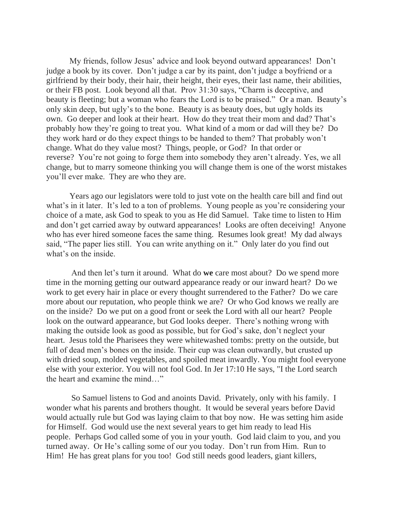My friends, follow Jesus' advice and look beyond outward appearances! Don't judge a book by its cover. Don't judge a car by its paint, don't judge a boyfriend or a girlfriend by their body, their hair, their height, their eyes, their last name, their abilities, or their FB post. Look beyond all that. Prov 31:30 says, "Charm is deceptive, and beauty is fleeting; but a woman who fears the Lord is to be praised." Or a man. Beauty's only skin deep, but ugly's to the bone. Beauty is as beauty does, but ugly holds its own. Go deeper and look at their heart. How do they treat their mom and dad? That's probably how they're going to treat you. What kind of a mom or dad will they be? Do they work hard or do they expect things to be handed to them? That probably won't change. What do they value most? Things, people, or God? In that order or reverse? You're not going to forge them into somebody they aren't already. Yes, we all change, but to marry someone thinking you will change them is one of the worst mistakes you'll ever make. They are who they are.

Years ago our legislators were told to just vote on the health care bill and find out what's in it later. It's led to a ton of problems. Young people as you're considering your choice of a mate, ask God to speak to you as He did Samuel. Take time to listen to Him and don't get carried away by outward appearances! Looks are often deceiving! Anyone who has ever hired someone faces the same thing. Resumes look great! My dad always said, "The paper lies still. You can write anything on it." Only later do you find out what's on the inside.

 And then let's turn it around. What do **we** care most about? Do we spend more time in the morning getting our outward appearance ready or our inward heart? Do we work to get every hair in place or every thought surrendered to the Father? Do we care more about our reputation, who people think we are? Or who God knows we really are on the inside? Do we put on a good front or seek the Lord with all our heart? People look on the outward appearance, but God looks deeper. There's nothing wrong with making the outside look as good as possible, but for God's sake, don't neglect your heart. Jesus told the Pharisees they were whitewashed tombs: pretty on the outside, but full of dead men's bones on the inside. Their cup was clean outwardly, but crusted up with dried soup, molded vegetables, and spoiled meat inwardly. You might fool everyone else with your exterior. You will not fool God. In Jer 17:10 He says, "I the Lord search the heart and examine the mind…"

 So Samuel listens to God and anoints David. Privately, only with his family. I wonder what his parents and brothers thought. It would be several years before David would actually rule but God was laying claim to that boy now. He was setting him aside for Himself. God would use the next several years to get him ready to lead His people. Perhaps God called some of you in your youth. God laid claim to you, and you turned away. Or He's calling some of our you today. Don't run from Him. Run to Him! He has great plans for you too! God still needs good leaders, giant killers,